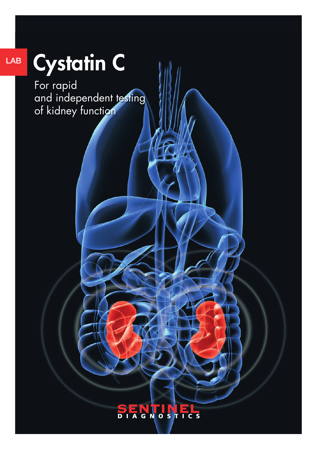# Cystatin C

LAB

For rapid and independent testing of kidney function

## **SENTINEL**